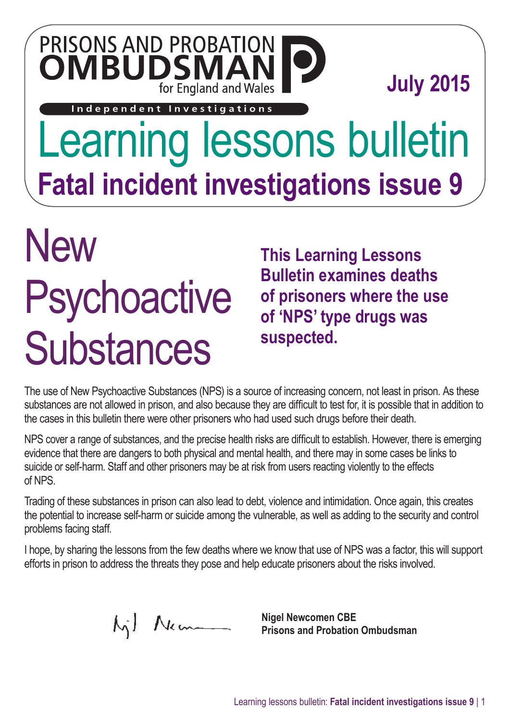### PRISONS AND PROBATION **OMBUDSM** for England and Wales

**July 2015**

Independent Investigations

## Learning lessons bulletin **Fatal incident investigations issue 9**

# **New Psychoactive Substances**

**This Learning Lessons Bulletin examines deaths of prisoners where the use of 'NPS' type drugs was suspected.**

The use of New Psychoactive Substances (NPS) is a source of increasing concern, not least in prison. As these substances are not allowed in prison, and also because they are difficult to test for, it is possible that in addition to the cases in this bulletin there were other prisoners who had used such drugs before their death.

NPS cover a range of substances, and the precise health risks are difficult to establish. However, there is emerging evidence that there are dangers to both physical and mental health, and there may in some cases be links to suicide or self-harm. Staff and other prisoners may be at risk from users reacting violently to the effects of NPS.

Trading of these substances in prison can also lead to debt, violence and intimidation. Once again, this creates the potential to increase self-harm or suicide among the vulnerable, as well as adding to the security and control problems facing staff.

I hope, by sharing the lessons from the few deaths where we know that use of NPS was a factor, this will support efforts in prison to address the threats they pose and help educate prisoners about the risks involved.

Mil Nem

**Nigel Newcomen CBE Prisons and Probation Ombudsman**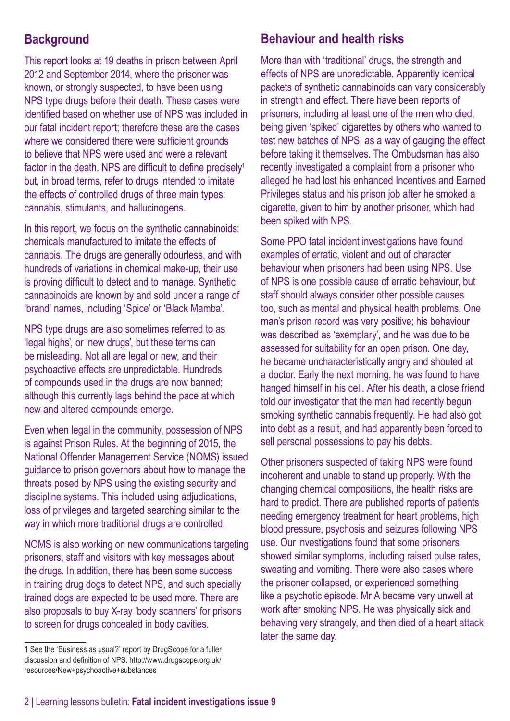#### **Background**

This report looks at 19 deaths in prison between April 2012 and September 2014, where the prisoner was known, or strongly suspected, to have been using NPS type drugs before their death. These cases were identified based on whether use of NPS was included in our fatal incident report; therefore these are the cases where we considered there were sufficient grounds to believe that NPS were used and were a relevant factor in the death. NPS are difficult to define precisely<sup>1</sup> but, in broad terms, refer to drugs intended to imitate the effects of controlled drugs of three main types: cannabis, stimulants, and hallucinogens.

In this report, we focus on the synthetic cannabinoids: chemicals manufactured to imitate the effects of cannabis. The drugs are generally odourless, and with hundreds of variations in chemical make-up, their use is proving difficult to detect and to manage. Synthetic cannabinoids are known by and sold under a range of 'brand' names, including 'Spice' or 'Black Mamba'.

NPS type drugs are also sometimes referred to as 'legal highs', or 'new drugs', but these terms can be misleading. Not all are legal or new, and their psychoactive effects are unpredictable. Hundreds of compounds used in the drugs are now banned; although this currently lags behind the pace at which new and altered compounds emerge.

Even when legal in the community, possession of NPS is against Prison Rules. At the beginning of 2015, the National Offender Management Service (NOMS) issued guidance to prison governors about how to manage the threats posed by NPS using the existing security and discipline systems. This included using adjudications, loss of privileges and targeted searching similar to the way in which more traditional drugs are controlled.

NOMS is also working on new communications targeting prisoners, staff and visitors with key messages about the drugs. In addition, there has been some success in training drug dogs to detect NPS, and such specially trained dogs are expected to be used more. There are also proposals to buy X-ray 'body scanners' for prisons to screen for drugs concealed in body cavities.

#### **Behaviour and health risks**

More than with 'traditional' drugs, the strength and effects of NPS are unpredictable. Apparently identical packets of synthetic cannabinoids can vary considerably in strength and effect. There have been reports of prisoners, including at least one of the men who died, being given 'spiked' cigarettes by others who wanted to test new batches of NPS, as a way of gauging the effect before taking it themselves. The Ombudsman has also recently investigated a complaint from a prisoner who alleged he had lost his enhanced Incentives and Earned Privileges status and his prison job after he smoked a cigarette, given to him by another prisoner, which had been spiked with NPS.

Some PPO fatal incident investigations have found examples of erratic, violent and out of character behaviour when prisoners had been using NPS. Use of NPS is one possible cause of erratic behaviour, but staff should always consider other possible causes too, such as mental and physical health problems. One man's prison record was very positive; his behaviour was described as 'exemplary', and he was due to be assessed for suitability for an open prison. One day, he became uncharacteristically angry and shouted at a doctor. Early the next morning, he was found to have hanged himself in his cell. After his death, a close friend told our investigator that the man had recently begun smoking synthetic cannabis frequently. He had also got into debt as a result, and had apparently been forced to sell personal possessions to pay his debts.

Other prisoners suspected of taking NPS were found incoherent and unable to stand up properly. With the changing chemical compositions, the health risks are hard to predict. There are published reports of patients needing emergency treatment for heart problems, high blood pressure, psychosis and seizures following NPS use. Our investigations found that some prisoners showed similar symptoms, including raised pulse rates, sweating and vomiting. There were also cases where the prisoner collapsed, or experienced something like a psychotic episode. Mr A became very unwell at work after smoking NPS. He was physically sick and behaving very strangely, and then died of a heart attack later the same day.

<sup>1</sup> See the 'Business as usual?' report by DrugScope for a fuller discussion and definition of NPS. [http://www.drugscope.org.uk/](http://www.drugscope.org.uk/resources/New+psychoactive+substances) [resources/New+](http://www.drugscope.org.uk/resources/New+psychoactive+substances)psychoactive+substances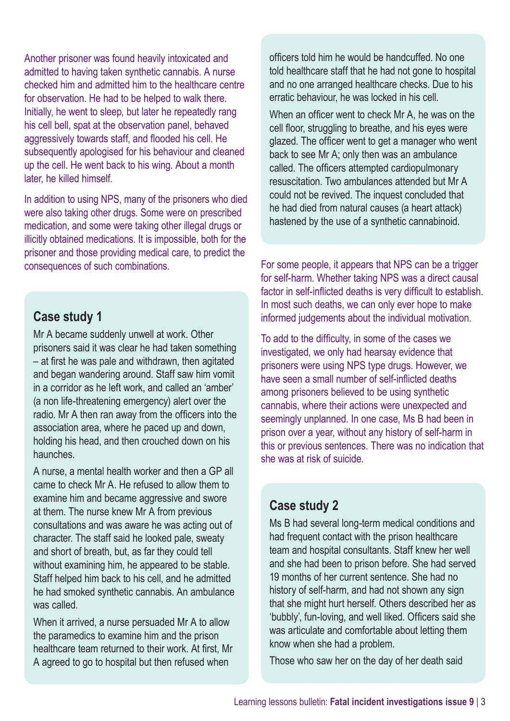Another prisoner was found heavily intoxicated and admitted to having taken synthetic cannabis. A nurse checked him and admitted him to the healthcare centre for observation. He had to be helped to walk there. Initially, he went to sleep, but later he repeatedly rang his cell bell, spat at the observation panel, behaved aggressively towards staff, and flooded his cell. He subsequently apologised for his behaviour and cleaned up the cell. He went back to his wing. About a month later, he killed himself.

In addition to using NPS, many of the prisoners who died were also taking other drugs. Some were on prescribed medication, and some were taking other illegal drugs or illicitly obtained medications. It is impossible, both for the prisoner and those providing medical care, to predict the consequences of such combinations.

#### **Case study 1**

Mr A became suddenly unwell at work. Other prisoners said it was clear he had taken something – at first he was pale and withdrawn, then agitated and began wandering around. Staff saw him vomit in a corridor as he left work, and called an 'amber' (a non life-threatening emergency) alert over the radio. Mr A then ran away from the officers into the association area, where he paced up and down, holding his head, and then crouched down on his haunches.

A nurse, a mental health worker and then a GP all came to check Mr A. He refused to allow them to examine him and became aggressive and swore at them. The nurse knew Mr A from previous consultations and was aware he was acting out of character. The staff said he looked pale, sweaty and short of breath, but, as far they could tell without examining him, he appeared to be stable. Staff helped him back to his cell, and he admitted he had smoked synthetic cannabis. An ambulance was called.

When it arrived, a nurse persuaded Mr A to allow the paramedics to examine him and the prison healthcare team returned to their work. At first, Mr A agreed to go to hospital but then refused when

officers told him he would be handcuffed. No one told healthcare staff that he had not gone to hospital and no one arranged healthcare checks. Due to his erratic behaviour, he was locked in his cell.

When an officer went to check Mr A, he was on the cell floor, struggling to breathe, and his eyes were glazed. The officer went to get a manager who went back to see Mr A; only then was an ambulance called. The officers attempted cardiopulmonary resuscitation. Two ambulances attended but Mr A could not be revived. The inquest concluded that he had died from natural causes (a heart attack) hastened by the use of a synthetic cannabinoid.

For some people, it appears that NPS can be a trigger for self-harm. Whether taking NPS was a direct causal factor in self-inflicted deaths is very difficult to establish. In most such deaths, we can only ever hope to make informed judgements about the individual motivation.

To add to the difficulty, in some of the cases we investigated, we only had hearsay evidence that prisoners were using NPS type drugs. However, we have seen a small number of self-inflicted deaths among prisoners believed to be using synthetic cannabis, where their actions were unexpected and seemingly unplanned. In one case, Ms B had been in prison over a year, without any history of self-harm in this or previous sentences. There was no indication that she was at risk of suicide.

#### **Case study 2**

Ms B had several long-term medical conditions and had frequent contact with the prison healthcare team and hospital consultants. Staff knew her well and she had been to prison before. She had served 19 months of her current sentence. She had no history of self-harm, and had not shown any sign that she might hurt herself. Others described her as 'bubbly', fun-loving, and well liked. Officers said she was articulate and comfortable about letting them know when she had a problem.

Those who saw her on the day of her death said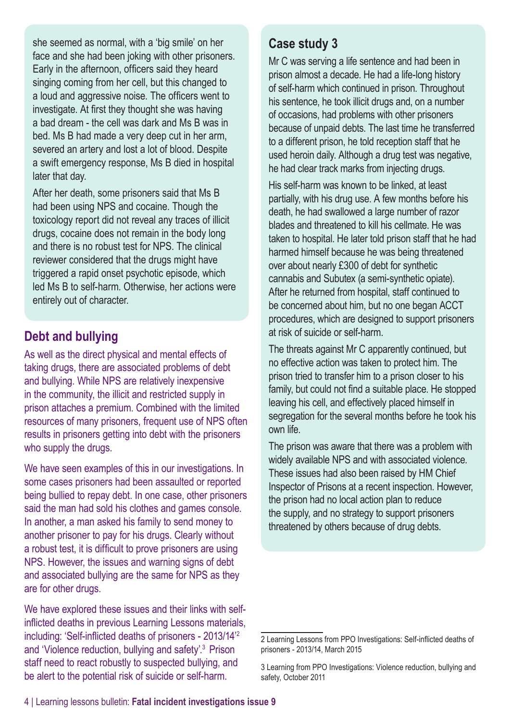she seemed as normal, with a 'big smile' on her face and she had been joking with other prisoners. Early in the afternoon, officers said they heard singing coming from her cell, but this changed to a loud and aggressive noise. The officers went to investigate. At first they thought she was having a bad dream - the cell was dark and Ms B was in bed. Ms B had made a very deep cut in her arm, severed an artery and lost a lot of blood. Despite a swift emergency response, Ms B died in hospital later that day.

After her death, some prisoners said that Ms B had been using NPS and cocaine. Though the toxicology report did not reveal any traces of illicit drugs, cocaine does not remain in the body long and there is no robust test for NPS. The clinical reviewer considered that the drugs might have triggered a rapid onset psychotic episode, which led Ms B to self-harm. Otherwise, her actions were entirely out of character.

#### **Debt and bullying**

As well as the direct physical and mental effects of taking drugs, there are associated problems of debt and bullying. While NPS are relatively inexpensive in the community, the illicit and restricted supply in prison attaches a premium. Combined with the limited resources of many prisoners, frequent use of NPS often results in prisoners getting into debt with the prisoners who supply the drugs.

We have seen examples of this in our investigations. In some cases prisoners had been assaulted or reported being bullied to repay debt. In one case, other prisoners said the man had sold his clothes and games console. In another, a man asked his family to send money to another prisoner to pay for his drugs. Clearly without a robust test, it is difficult to prove prisoners are using NPS. However, the issues and warning signs of debt and associated bullying are the same for NPS as they are for other drugs.

We have explored these issues and their links with selfinflicted deaths in previous Learning Lessons materials, including: ['Self-inflicted deaths of prisoners - 2013/14'](http://www.ppo.gov.uk/wp-content/uploads/2015/03/self-inflicted-deaths-2013-14-Final-for-publication-5.pdf#view=FitH)<sup>2</sup> and ['Violence reduction, bullying and safety'.3](http://www.ppo.gov.uk/wp-content/uploads/2014/07/PPO_report_-_violence_reduction_web_.pdf#view=FitH) Prison staff need to react robustly to suspected bullying, and be alert to the potential risk of suicide or self-harm.

#### **Case study 3**

Mr C was serving a life sentence and had been in prison almost a decade. He had a life-long history of self-harm which continued in prison. Throughout his sentence, he took illicit drugs and, on a number of occasions, had problems with other prisoners because of unpaid debts. The last time he transferred to a different prison, he told reception staff that he used heroin daily. Although a drug test was negative, he had clear track marks from injecting drugs.

His self-harm was known to be linked, at least partially, with his drug use. A few months before his death, he had swallowed a large number of razor blades and threatened to kill his cellmate. He was taken to hospital. He later told prison staff that he had harmed himself because he was being threatened over about nearly £300 of debt for synthetic cannabis and Subutex (a semi-synthetic opiate). After he returned from hospital, staff continued to be concerned about him, but no one began ACCT procedures, which are designed to support prisoners at risk of suicide or self-harm.

The threats against Mr C apparently continued, but no effective action was taken to protect him. The prison tried to transfer him to a prison closer to his family, but could not find a suitable place. He stopped leaving his cell, and effectively placed himself in segregation for the several months before he took his own life.

The prison was aware that there was a problem with widely available NPS and with associated violence. These issues had also been raised by HM Chief Inspector of Prisons at a recent inspection. However, the prison had no local action plan to reduce the supply, and no strategy to support prisoners threatened by others because of drug debts.

[<sup>2</sup> Learning Lessons from PPO Investigations: Self-inflicted deaths of](http://www.ppo.gov.uk/wp-content/uploads/2015/03/self-inflicted-deaths-2013-14-Final-for-publication-5.pdf#view=FitH)  [prisoners - 2013/14, March 2015](http://www.ppo.gov.uk/wp-content/uploads/2015/03/self-inflicted-deaths-2013-14-Final-for-publication-5.pdf#view=FitH)

[<sup>3</sup> Learning from PPO Investigations: Violence reduction, bullying and](http://www.ppo.gov.uk/wp-content/uploads/2014/07/PPO_report_-_violence_reduction_web_.pdf#view=FitH)  [safety, October 2011](http://www.ppo.gov.uk/wp-content/uploads/2014/07/PPO_report_-_violence_reduction_web_.pdf#view=FitH)